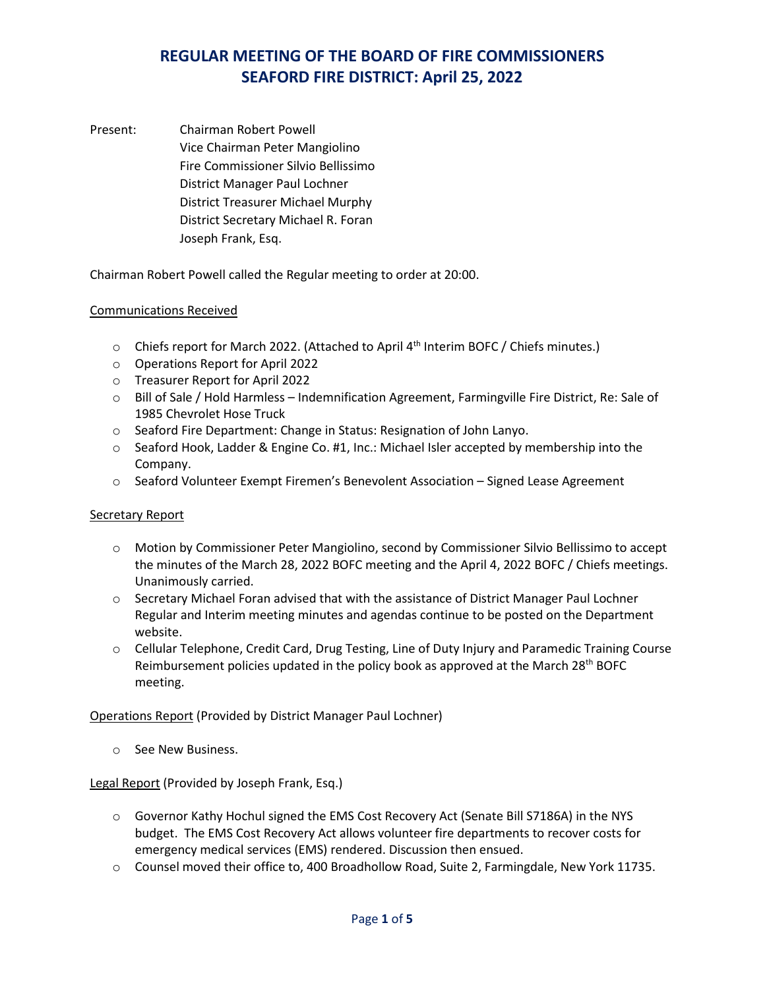Present: Chairman Robert Powell Vice Chairman Peter Mangiolino Fire Commissioner Silvio Bellissimo District Manager Paul Lochner District Treasurer Michael Murphy District Secretary Michael R. Foran Joseph Frank, Esq.

Chairman Robert Powell called the Regular meeting to order at 20:00.

#### Communications Received

- $\circ$  Chiefs report for March 2022. (Attached to April 4<sup>th</sup> Interim BOFC / Chiefs minutes.)
- o Operations Report for April 2022
- o Treasurer Report for April 2022
- o Bill of Sale / Hold Harmless Indemnification Agreement, Farmingville Fire District, Re: Sale of 1985 Chevrolet Hose Truck
- o Seaford Fire Department: Change in Status: Resignation of John Lanyo.
- o Seaford Hook, Ladder & Engine Co. #1, Inc.: Michael Isler accepted by membership into the Company.
- o Seaford Volunteer Exempt Firemen's Benevolent Association Signed Lease Agreement

#### Secretary Report

- o Motion by Commissioner Peter Mangiolino, second by Commissioner Silvio Bellissimo to accept the minutes of the March 28, 2022 BOFC meeting and the April 4, 2022 BOFC / Chiefs meetings. Unanimously carried.
- o Secretary Michael Foran advised that with the assistance of District Manager Paul Lochner Regular and Interim meeting minutes and agendas continue to be posted on the Department website.
- o Cellular Telephone, Credit Card, Drug Testing, Line of Duty Injury and Paramedic Training Course Reimbursement policies updated in the policy book as approved at the March  $28<sup>th</sup>$  BOFC meeting.

Operations Report (Provided by District Manager Paul Lochner)

o See New Business.

#### Legal Report (Provided by Joseph Frank, Esq.)

- o Governor Kathy Hochul signed the EMS Cost Recovery Act (Senate Bill S7186A) in the NYS budget. The EMS Cost Recovery Act allows volunteer fire departments to recover costs for emergency medical services (EMS) rendered. Discussion then ensued.
- o Counsel moved their office to, 400 Broadhollow Road, Suite 2, Farmingdale, New York 11735.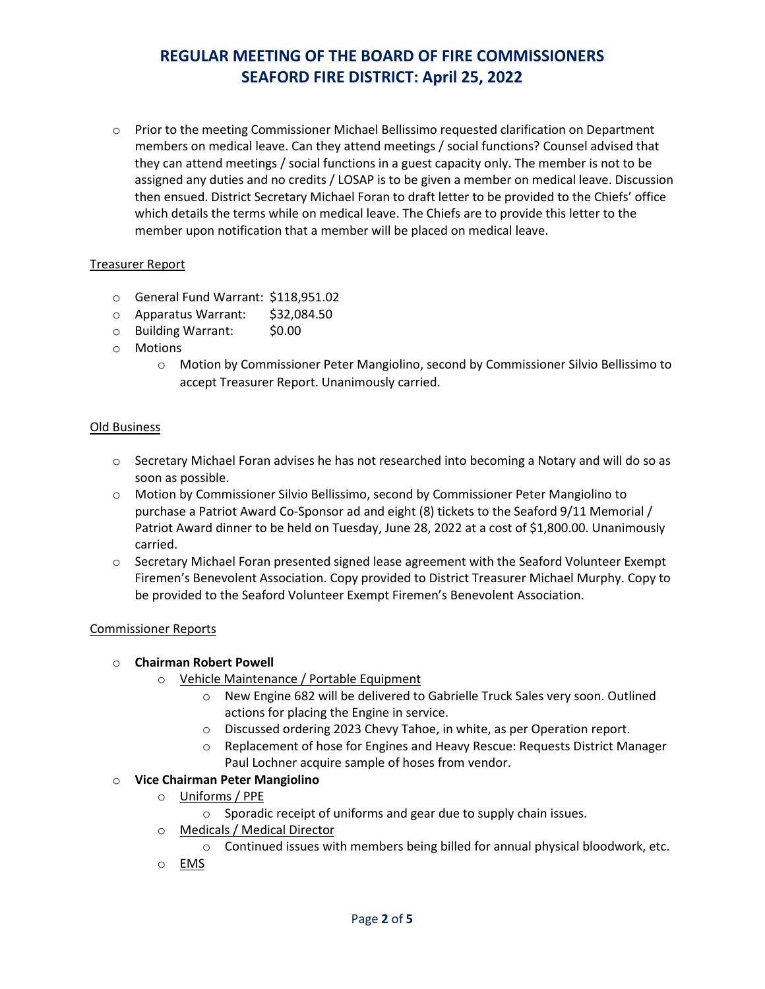o Prior to the meeting Commissioner Michael Bellissimo requested clarification on Department members on medical leave. Can they attend meetings / social functions? Counsel advised that they can attend meetings / social functions in a guest capacity only. The member is not to be assigned any duties and no credits / LOSAP is to be given a member on medical leave. Discussion then ensued. District Secretary Michael Foran to draft letter to be provided to the Chiefs' office which details the terms while on medical leave. The Chiefs are to provide this letter to the member upon notification that a member will be placed on medical leave.

### Treasurer Report

- o General Fund Warrant: \$118,951.02
- o Apparatus Warrant: \$32,084.50<br>○ Building Warrant: \$0.00
- $\circ$  Building Warrant:
- o Motions
	- o Motion by Commissioner Peter Mangiolino, second by Commissioner Silvio Bellissimo to accept Treasurer Report. Unanimously carried.

#### Old Business

- $\circ$  Secretary Michael Foran advises he has not researched into becoming a Notary and will do so as soon as possible.
- o Motion by Commissioner Silvio Bellissimo, second by Commissioner Peter Mangiolino to purchase a Patriot Award Co-Sponsor ad and eight (8) tickets to the Seaford 9/11 Memorial / Patriot Award dinner to be held on Tuesday, June 28, 2022 at a cost of \$1,800.00. Unanimously carried.
- $\circ$  Secretary Michael Foran presented signed lease agreement with the Seaford Volunteer Exempt Firemen's Benevolent Association. Copy provided to District Treasurer Michael Murphy. Copy to be provided to the Seaford Volunteer Exempt Firemen's Benevolent Association.

#### Commissioner Reports

#### o **Chairman Robert Powell**

- o Vehicle Maintenance / Portable Equipment
	- o New Engine 682 will be delivered to Gabrielle Truck Sales very soon. Outlined actions for placing the Engine in service.
	- o Discussed ordering 2023 Chevy Tahoe, in white, as per Operation report.
	- o Replacement of hose for Engines and Heavy Rescue: Requests District Manager Paul Lochner acquire sample of hoses from vendor.

#### o **Vice Chairman Peter Mangiolino**

- o Uniforms / PPE
	- o Sporadic receipt of uniforms and gear due to supply chain issues.
- o Medicals / Medical Director
	- $\circ$  Continued issues with members being billed for annual physical bloodwork, etc.
- o EMS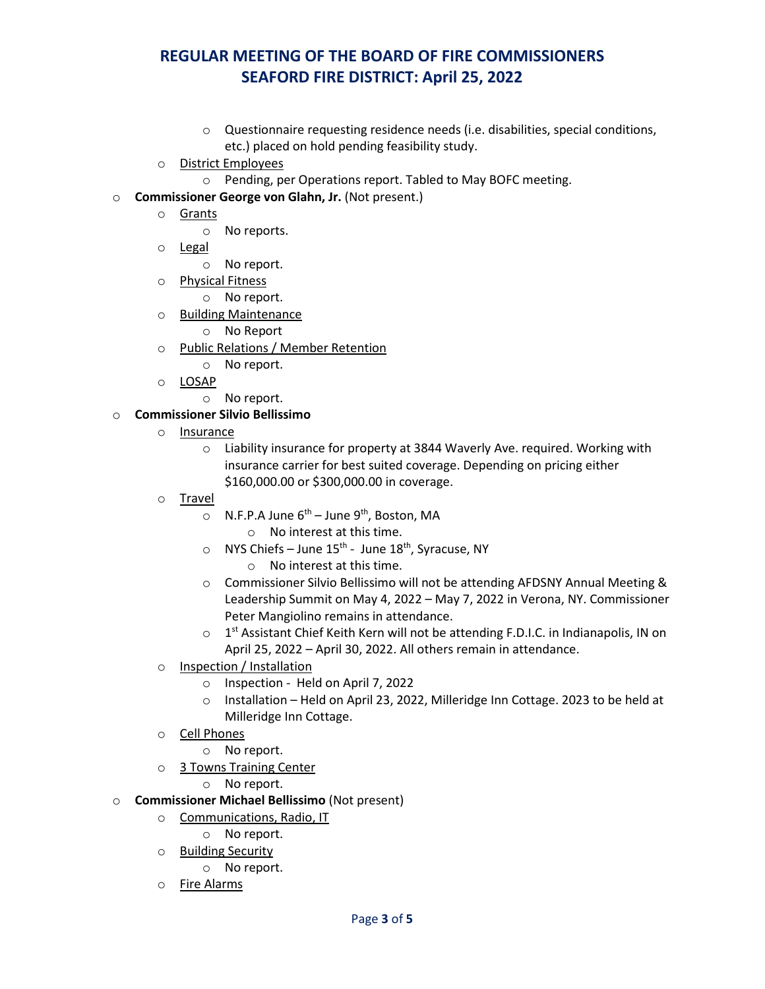- o Questionnaire requesting residence needs (i.e. disabilities, special conditions, etc.) placed on hold pending feasibility study.
- o District Employees
	- o Pending, per Operations report. Tabled to May BOFC meeting.
- o **Commissioner George von Glahn, Jr.** (Not present.)
	- o Grants
		- o No reports.
	- o <u>Legal</u>
		- o No report.
	- o Physical Fitness
		- o No report.
	- o Building Maintenance
		- o No Report
	- o Public Relations / Member Retention
		- o No report.
	- o LOSAP
		- o No report.

### o **Commissioner Silvio Bellissimo**

- o Insurance
	- o Liability insurance for property at 3844 Waverly Ave. required. Working with insurance carrier for best suited coverage. Depending on pricing either \$160,000.00 or \$300,000.00 in coverage.
- o <u>Travel</u>
	- $\circ$  N.F.P.A June 6<sup>th</sup> June 9<sup>th</sup>, Boston, MA o No interest at this time.
	- $\circ$  NYS Chiefs June 15<sup>th</sup> June 18<sup>th</sup>, Syracuse, NY
		- o No interest at this time.
	- o Commissioner Silvio Bellissimo will not be attending AFDSNY Annual Meeting & Leadership Summit on May 4, 2022 – May 7, 2022 in Verona, NY. Commissioner Peter Mangiolino remains in attendance.
	- $\circ$  1<sup>st</sup> Assistant Chief Keith Kern will not be attending F.D.I.C. in Indianapolis, IN on April 25, 2022 – April 30, 2022. All others remain in attendance.
- o Inspection / Installation
	- o Inspection Held on April 7, 2022
	- o Installation Held on April 23, 2022, Milleridge Inn Cottage. 2023 to be held at Milleridge Inn Cottage.
- o Cell Phones
	- o No report.
- o 3 Towns Training Center
	- o No report.
- o **Commissioner Michael Bellissimo** (Not present)
	- o Communications, Radio, IT
		- o No report.
	- o Building Security
		- o No report.
	- o Fire Alarms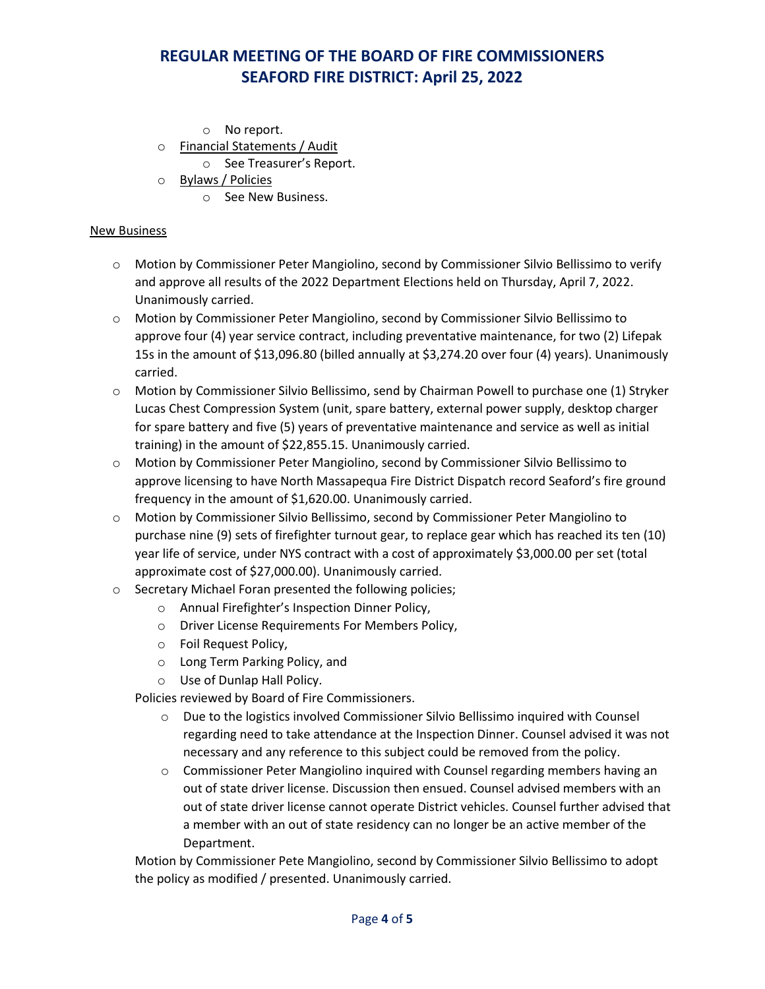- o No report.
- o Financial Statements / Audit

o See Treasurer's Report.

- o Bylaws / Policies
	- o See New Business.

#### New Business

- o Motion by Commissioner Peter Mangiolino, second by Commissioner Silvio Bellissimo to verify and approve all results of the 2022 Department Elections held on Thursday, April 7, 2022. Unanimously carried.
- o Motion by Commissioner Peter Mangiolino, second by Commissioner Silvio Bellissimo to approve four (4) year service contract, including preventative maintenance, for two (2) Lifepak 15s in the amount of \$13,096.80 (billed annually at \$3,274.20 over four (4) years). Unanimously carried.
- o Motion by Commissioner Silvio Bellissimo, send by Chairman Powell to purchase one (1) Stryker Lucas Chest Compression System (unit, spare battery, external power supply, desktop charger for spare battery and five (5) years of preventative maintenance and service as well as initial training) in the amount of \$22,855.15. Unanimously carried.
- o Motion by Commissioner Peter Mangiolino, second by Commissioner Silvio Bellissimo to approve licensing to have North Massapequa Fire District Dispatch record Seaford's fire ground frequency in the amount of \$1,620.00. Unanimously carried.
- o Motion by Commissioner Silvio Bellissimo, second by Commissioner Peter Mangiolino to purchase nine (9) sets of firefighter turnout gear, to replace gear which has reached its ten (10) year life of service, under NYS contract with a cost of approximately \$3,000.00 per set (total approximate cost of \$27,000.00). Unanimously carried.
- o Secretary Michael Foran presented the following policies;
	- o Annual Firefighter's Inspection Dinner Policy,
	- o Driver License Requirements For Members Policy,
	- o Foil Request Policy,
	- o Long Term Parking Policy, and
	- o Use of Dunlap Hall Policy.

Policies reviewed by Board of Fire Commissioners.

- o Due to the logistics involved Commissioner Silvio Bellissimo inquired with Counsel regarding need to take attendance at the Inspection Dinner. Counsel advised it was not necessary and any reference to this subject could be removed from the policy.
- $\circ$  Commissioner Peter Mangiolino inquired with Counsel regarding members having an out of state driver license. Discussion then ensued. Counsel advised members with an out of state driver license cannot operate District vehicles. Counsel further advised that a member with an out of state residency can no longer be an active member of the Department.

Motion by Commissioner Pete Mangiolino, second by Commissioner Silvio Bellissimo to adopt the policy as modified / presented. Unanimously carried.